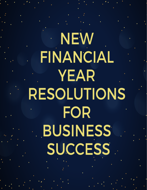**NEW FINANCIAL YEAR RESOLUTIONS FOR BUSINESS SUCCESS** 

www.masmanagementsystems.com.au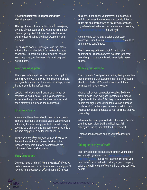**A new financial year is approaching with alarming speed.**

Although it may not be a thrilling time for everyone, any end of year event comes with a certain amount of navel gazing. And 1 July is the perfect time to examine just what has and hasn't worked in your business.

For business owners, unless you're in the fitness industry this isn't about deciding to exercise more or eat less. But there are a few things you can do to making sure your business is lean, strong, and working hard.

#### **Your business plan**

This is your roadmap to success and referring to it can help when you're looking for guidance. It should be regularly updated but if you need a prompt, a new financial year is the perfect trigger.

Update it to include new financial details such as projected vs actual costs. Add in your competitor analysis and any changes that have occurred and could affect your business and its success.

#### **Business goals**

You may not have been able to meet all your goals from the last couple of financial years. With the world in turmoil, this was hardly your fault. But with things opening up a bit more and increasing certainty, this is the time prepare for a better year ahead.

Think about any large projects you could consider that will have an impact on your business. And reassess any goals that won't contribute to the outcomes of your business plan.

# **Your processes**

Do these need a refresh? Are they realistic? If you've had an assessment or certification visit recently, you'll have current feedback on what's happening in your

business. If not, check your internal audit schedule and find out when the next one is occurring. Internal audits are an excellent way of reviewing processes. If you need a refresher on best internal audit practice, that will help.

Are there any day-to-day problems that keep occurring? Our article on root cause analysis could be of enormous benefit here.

This is also a good time to look for automation opportunities. There's software available for almost everything so take some time to investigate these options.

## **Check your website**

Even if you don't sell products online, having an online presence means that customers can find information about you. And in 2022, customers expect that a business will have a website.

Have a look at your competitor websites. Did they start a blog to keep everyone updated on business projects and information? Do they have a newsletter people can sign up for, giving them valuable access to inboxes? Or perhaps you've seen something on a website completely unrelated to your business that you could adapt.

Whatever the case, your website is the online 'face' of your business. View it with a critical eye. Ask colleagues, clients, and staff for their feedback.

It makes good sense to ensure your face looks its best.

# **Taking care of your staff**

This is the big one because quite simply, your people are critical to your outcomes.

 *but it's not just their skills that you* need to be concerned with. Building a good company culture and taking care of your staff is a huge business benefit.

2